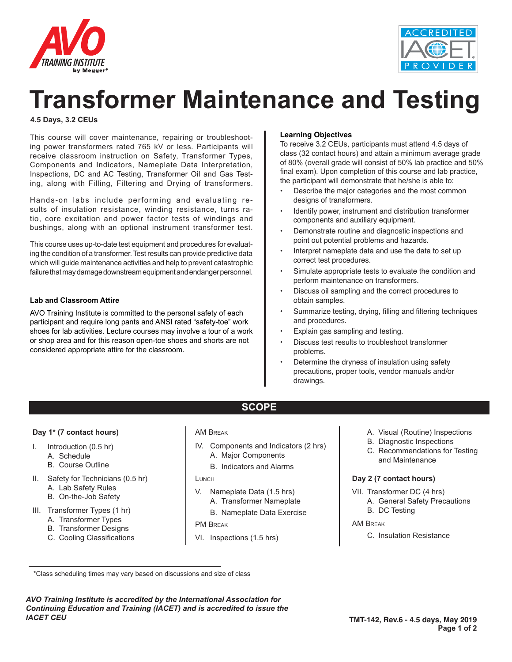



# **Transformer Maintenance and Testing**

## **4.5 Days, 3.2 CEUs**

This course will cover maintenance, repairing or troubleshooting power transformers rated 765 kV or less. Participants will receive classroom instruction on Safety, Transformer Types, Components and Indicators, Nameplate Data Interpretation, Inspections, DC and AC Testing, Transformer Oil and Gas Testing, along with Filling, Filtering and Drying of transformers.

Hands-on labs include performing and evaluating results of insulation resistance, winding resistance, turns ratio, core excitation and power factor tests of windings and bushings, along with an optional instrument transformer test.

This course uses up-to-date test equipment and procedures for evaluating the condition of a transformer. Test results can provide predictive data which will guide maintenance activities and help to prevent catastrophic failure that may damage downstream equipment and endanger personnel.

## **Lab and Classroom Attire**

AVO Training Institute is committed to the personal safety of each participant and require long pants and ANSI rated "safety-toe" work shoes for lab activities. Lecture courses may involve a tour of a work or shop area and for this reason open-toe shoes and shorts are not considered appropriate attire for the classroom.

#### **Learning Objectives**

To receive 3.2 CEUs, participants must attend 4.5 days of class (32 contact hours) and attain a minimum average grade of 80% (overall grade will consist of 50% lab practice and 50% final exam). Upon completion of this course and lab practice, the participant will demonstrate that he/she is able to:

- Describe the major categories and the most common designs of transformers.
- Identify power, instrument and distribution transformer components and auxiliary equipment.
- Demonstrate routine and diagnostic inspections and point out potential problems and hazards.
- Interpret nameplate data and use the data to set up correct test procedures.
- Simulate appropriate tests to evaluate the condition and perform maintenance on transformers.
- Discuss oil sampling and the correct procedures to obtain samples.
- Summarize testing, drying, filling and filtering techniques and procedures.
- Explain gas sampling and testing.
- Discuss test results to troubleshoot transformer problems.
- Determine the dryness of insulation using safety precautions, proper tools, vendor manuals and/or drawings.

#### **Day 1\* (7 contact hours)**

- I. Introduction (0.5 hr)
	- A. Schedule
	- B. Course Outline
- II. Safety for Technicians (0.5 hr)
	- A. Lab Safety Rules
	- B. On-the-Job Safety
- III. Transformer Types (1 hr)
	- A. Transformer Types
	- B. Transformer Designs
	- C. Cooling Classifications

#### AM Break

IV. Components and Indicators (2 hrs) A. Major Components

**SCOPE**

B. Indicators and Alarms

## LUNCH

- V. Nameplate Data (1.5 hrs)
	- A. Transformer Nameplate
	- B. Nameplate Data Exercise

#### PM Break

VI. Inspections (1.5 hrs)

- A. Visual (Routine) Inspections
- B. Diagnostic Inspections
- C. Recommendations for Testing and Maintenance

## **Day 2 (7 contact hours)**

- VII. Transformer DC (4 hrs) A. General Safety Precautions
	- B. DC Testing

## AM Break

C. Insulation Resistance

\*Class scheduling times may vary based on discussions and size of class

*AVO Training Institute is accredited by the International Association for Continuing Education and Training (IACET) and is accredited to issue the IACET CEU*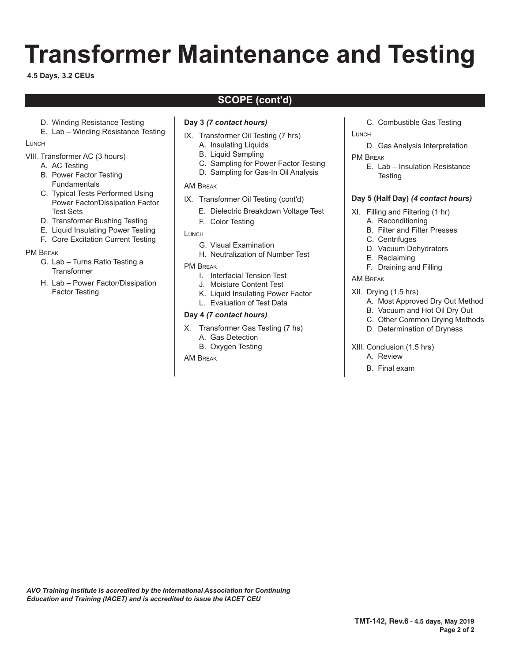# **Transformer Maintenance and Testing**

**4.5 Days, 3.2 CEUs**

# **SCOPE (cont'd)**

- D. Winding Resistance Testing
- E. Lab Winding Resistance Testing

**LUNCH** 

- VIII. Transformer AC (3 hours)
	- A. AC Testing
	- B. Power Factor Testing Fundamentals
	- C. Typical Tests Performed Using Power Factor/Dissipation Factor Test Sets
	- D. Transformer Bushing Testing
	- E. Liquid Insulating Power Testing
	- F. Core Excitation Current Testing

## PM Break

- G. Lab Turns Ratio Testing a **Transformer**
- H. Lab Power Factor/Dissipation Factor Testing

## **Day 3** *(7 contact hours)*

- IX. Transformer Oil Testing (7 hrs)
	- A. Insulating Liquids
	- B. Liquid Sampling
	- C. Sampling for Power Factor Testing
	- D. Sampling for Gas-In Oil Analysis

## AM Break

- IX. Transformer Oil Testing (cont'd)
	- E. Dielectric Breakdown Voltage Test
	- F. Color Testing
- **LUNCH** 
	- G. Visual Examination
	- H. Neutralization of Number Test
- PM Break
	- I. Interfacial Tension Test
	- J. Moisture Content Test
	- K. Liquid Insulating Power Factor
	- L. Evaluation of Test Data

## **Day 4** *(7 contact hours)*

- X. Transformer Gas Testing (7 hs) A. Gas Detection
	- B. Oxygen Testing

AM Break

- C. Combustible Gas Testing
- **LUNCH** 
	- D. Gas Analysis Interpretation
- PM Break
	- E. Lab Insulation Resistance **Testing**

## **Day 5 (Half Day)** *(4 contact hours)*

- XI. Filling and Filtering (1 hr)
	- A. Reconditioning
		- B. Filter and Filter Presses
		- C. Centrifuges
		- D. Vacuum Dehydrators
	- E. Reclaiming
	- F. Draining and Filling
- AM Break
- XII. Drying (1.5 hrs)
	- A. Most Approved Dry Out Method
	- B. Vacuum and Hot Oil Dry Out
	- C. Other Common Drying Methods
	- D. Determination of Dryness
- XIII. Conclusion (1.5 hrs)
	- A. Review
	- B. Final exam